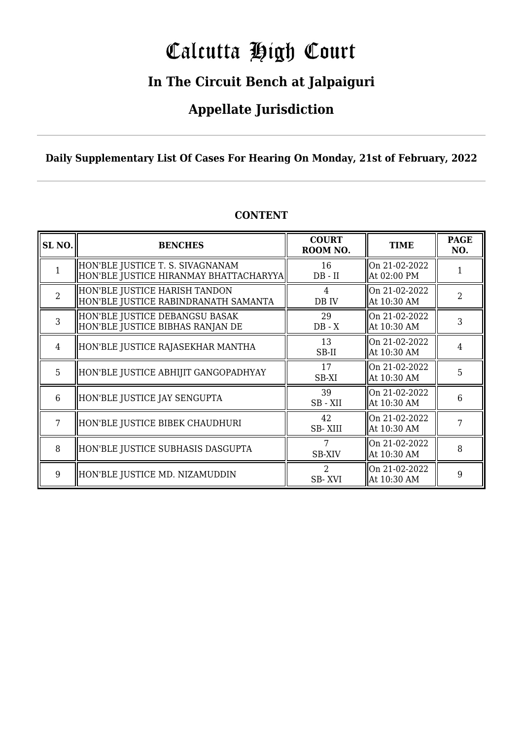# Calcutta High Court

### **In The Circuit Bench at Jalpaiguri**

### **Appellate Jurisdiction**

### **Daily Supplementary List Of Cases For Hearing On Monday, 21st of February, 2022**

| SL <sub>NO.</sub> | <b>BENCHES</b>                                                             | <b>COURT</b><br>ROOM NO. | <b>TIME</b>                  | <b>PAGE</b><br>NO. |
|-------------------|----------------------------------------------------------------------------|--------------------------|------------------------------|--------------------|
|                   | HON'BLE JUSTICE T. S. SIVAGNANAM<br>HON'BLE JUSTICE HIRANMAY BHATTACHARYYA | 16<br>$DB - II$          | On 21-02-2022<br>At 02:00 PM |                    |
| $\overline{2}$    | HON'BLE JUSTICE HARISH TANDON<br>HON'BLE JUSTICE RABINDRANATH SAMANTA      | 4<br>DB IV               | On 21-02-2022<br>At 10:30 AM | $\overline{a}$     |
| 3                 | HON'BLE JUSTICE DEBANGSU BASAK<br>HON'BLE JUSTICE BIBHAS RANJAN DE         | 29<br>$DB - X$           | On 21-02-2022<br>At 10:30 AM | 3                  |
| $\overline{4}$    | HON'BLE JUSTICE RAJASEKHAR MANTHA                                          | 13<br>SB-II              | On 21-02-2022<br>At 10:30 AM | 4                  |
| 5                 | HON'BLE JUSTICE ABHIJIT GANGOPADHYAY                                       | 17<br>SB-XI              | On 21-02-2022<br>At 10:30 AM | 5                  |
| 6                 | HON'BLE JUSTICE JAY SENGUPTA                                               | 39<br>SB-XII             | On 21-02-2022<br>At 10:30 AM | 6                  |
| 7                 | HON'BLE JUSTICE BIBEK CHAUDHURI                                            | 42<br>SB-XIII            | On 21-02-2022<br>At 10:30 AM | 7                  |
| 8                 | HON'BLE JUSTICE SUBHASIS DASGUPTA                                          | 7<br><b>SB-XIV</b>       | On 21-02-2022<br>At 10:30 AM | 8                  |
| 9                 | HON'BLE JUSTICE MD. NIZAMUDDIN                                             | $\mathcal{L}$<br>SB-XVI  | On 21-02-2022<br>At 10:30 AM | 9                  |

### **CONTENT**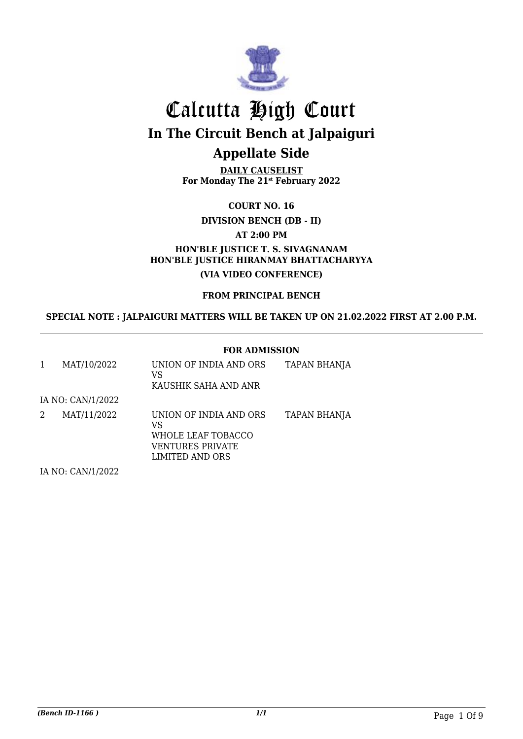

**DAILY CAUSELIST For Monday The 21st February 2022**

**COURT NO. 16**

**DIVISION BENCH (DB - II)**

**AT 2:00 PM**

**HON'BLE JUSTICE T. S. SIVAGNANAM HON'BLE JUSTICE HIRANMAY BHATTACHARYYA (VIA VIDEO CONFERENCE)**

**FROM PRINCIPAL BENCH**

**SPECIAL NOTE : JALPAIGURI MATTERS WILL BE TAKEN UP ON 21.02.2022 FIRST AT 2.00 P.M.**

#### **FOR ADMISSION**

| 1 | MAT/10/2022       | UNION OF INDIA AND ORS<br>VS<br>KAUSHIK SAHA AND ANR                                      | TAPAN BHANJA        |
|---|-------------------|-------------------------------------------------------------------------------------------|---------------------|
|   | IA NO: CAN/1/2022 |                                                                                           |                     |
| 2 | MAT/11/2022       | UNION OF INDIA AND ORS<br>VS<br>WHOLE LEAF TOBACCO<br>VENTURES PRIVATE<br>LIMITED AND ORS | <b>TAPAN BHANJA</b> |
|   |                   |                                                                                           |                     |

IA NO: CAN/1/2022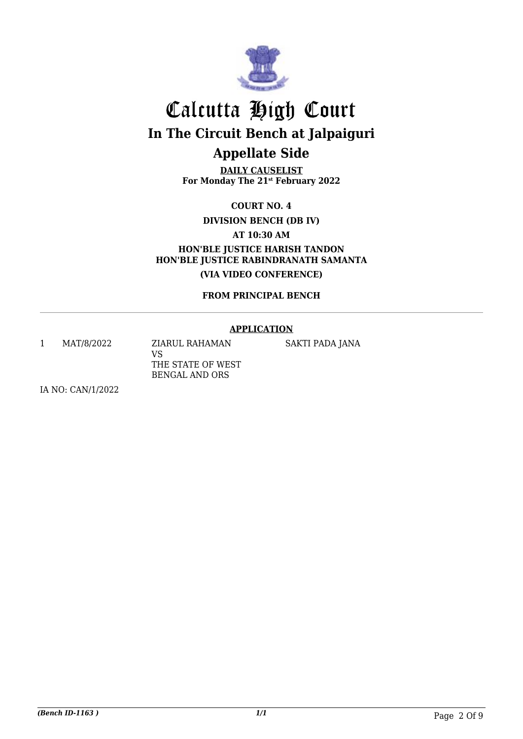

**DAILY CAUSELIST For Monday The 21st February 2022**

**COURT NO. 4**

**DIVISION BENCH (DB IV)**

**AT 10:30 AM**

**HON'BLE JUSTICE HARISH TANDON HON'BLE JUSTICE RABINDRANATH SAMANTA (VIA VIDEO CONFERENCE)**

**FROM PRINCIPAL BENCH**

#### **APPLICATION**

1 MAT/8/2022 ZIARUL RAHAMAN

VS THE STATE OF WEST BENGAL AND ORS

SAKTI PADA JANA

IA NO: CAN/1/2022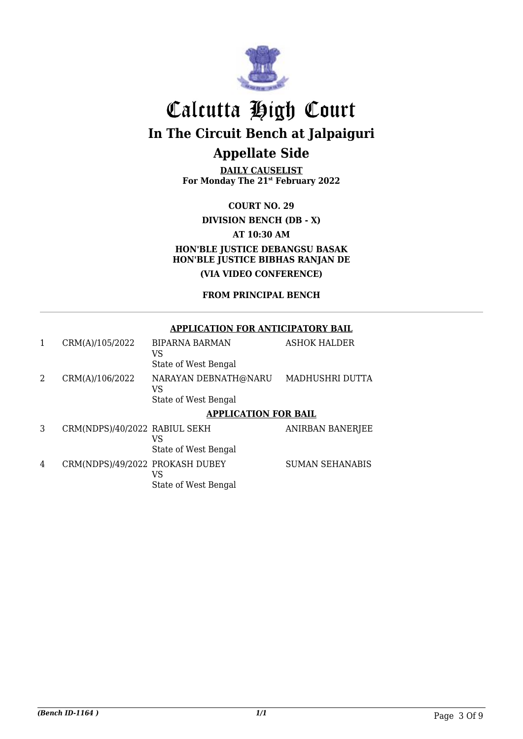

**DAILY CAUSELIST For Monday The 21st February 2022**

**COURT NO. 29 DIVISION BENCH (DB - X) AT 10:30 AM HON'BLE JUSTICE DEBANGSU BASAK HON'BLE JUSTICE BIBHAS RANJAN DE (VIA VIDEO CONFERENCE)**

### **FROM PRINCIPAL BENCH**

#### **APPLICATION FOR ANTICIPATORY BAIL**

| 1 | CRM(A)/105/2022                 | <b>BIPARNA BARMAN</b><br>VS<br>State of West Bengal | <b>ASHOK HALDER</b>     |
|---|---------------------------------|-----------------------------------------------------|-------------------------|
| 2 | CRM(A)/106/2022                 | NARAYAN DEBNATH@NARU<br>VS                          | MADHUSHRI DUTTA         |
|   |                                 | State of West Bengal                                |                         |
|   |                                 | <b>APPLICATION FOR BAIL</b>                         |                         |
| 3 | CRM(NDPS)/40/2022 RABIUL SEKH   | VS                                                  | <b>ANIRBAN BANERJEE</b> |
|   |                                 | State of West Bengal                                |                         |
| 4 | CRM(NDPS)/49/2022 PROKASH DUBEY | VS                                                  | <b>SUMAN SEHANABIS</b>  |
|   |                                 | State of West Bengal                                |                         |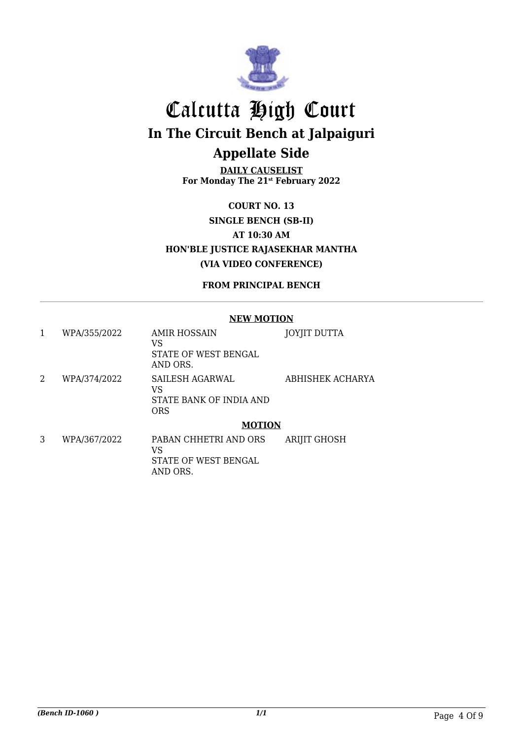

**DAILY CAUSELIST For Monday The 21st February 2022**

**COURT NO. 13 SINGLE BENCH (SB-II) AT 10:30 AM HON'BLE JUSTICE RAJASEKHAR MANTHA (VIA VIDEO CONFERENCE)**

**FROM PRINCIPAL BENCH**

#### **NEW MOTION**

| 1 | WPA/355/2022 | AMIR HOSSAIN<br>VS<br>STATE OF WEST BENGAL<br>AND ORS.  | JOYJIT DUTTA        |
|---|--------------|---------------------------------------------------------|---------------------|
| 2 | WPA/374/2022 | SAILESH AGARWAL<br>VS<br>STATE BANK OF INDIA AND<br>ORS | ABHISHEK ACHARYA    |
|   |              | <b>MOTION</b>                                           |                     |
| 3 | WPA/367/2022 | PABAN CHHETRI AND ORS<br>VS<br>STATE OF WEST BENGAL     | <b>ARIJIT GHOSH</b> |

AND ORS.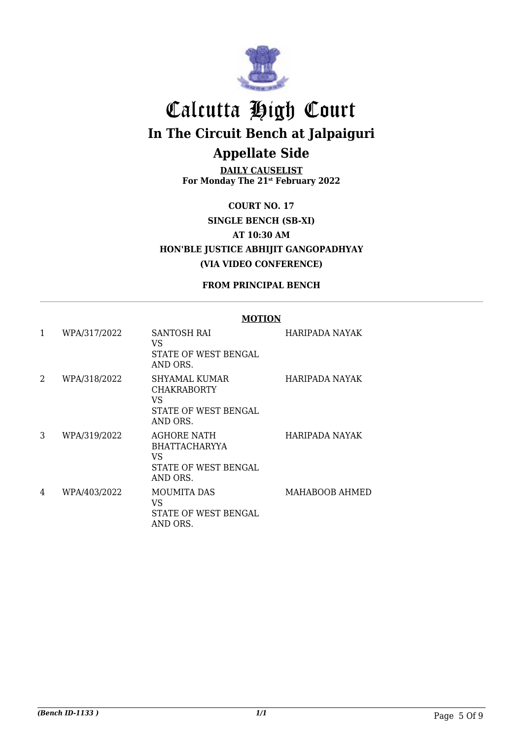

**DAILY CAUSELIST For Monday The 21st February 2022**

**COURT NO. 17 SINGLE BENCH (SB-XI) AT 10:30 AM HON'BLE JUSTICE ABHIJIT GANGOPADHYAY (VIA VIDEO CONFERENCE)**

**FROM PRINCIPAL BENCH**

#### **MOTION**

| 1 | WPA/317/2022 | SANTOSH RAI<br>VS<br>STATE OF WEST BENGAL<br>AND ORS.                                | HARIPADA NAYAK |
|---|--------------|--------------------------------------------------------------------------------------|----------------|
| 2 | WPA/318/2022 | SHYAMAL KUMAR<br><b>CHAKRABORTY</b><br>VS<br>STATE OF WEST BENGAL<br>AND ORS.        | HARIPADA NAYAK |
| 3 | WPA/319/2022 | <b>AGHORE NATH</b><br><b>BHATTACHARYYA</b><br>VS<br>STATE OF WEST BENGAL<br>AND ORS. | HARIPADA NAYAK |
| 4 | WPA/403/2022 | <b>MOUMITA DAS</b><br>VS<br>STATE OF WEST BENGAL<br>AND ORS.                         | MAHABOOB AHMED |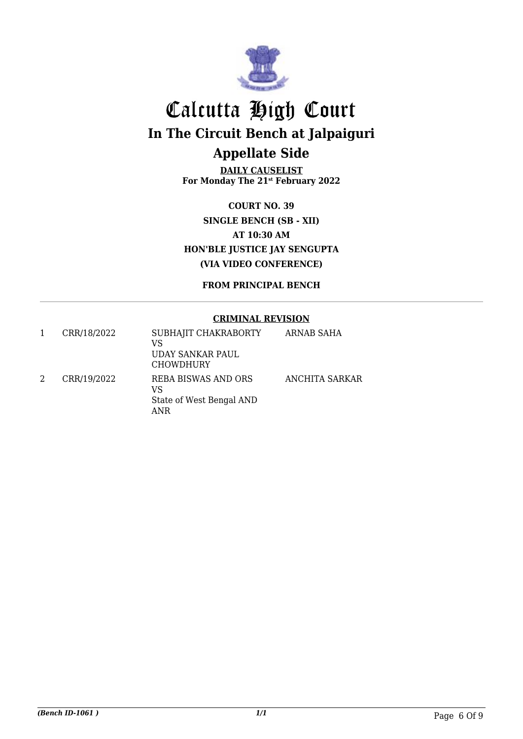

**DAILY CAUSELIST For Monday The 21st February 2022**

**COURT NO. 39 SINGLE BENCH (SB - XII) AT 10:30 AM HON'BLE JUSTICE JAY SENGUPTA (VIA VIDEO CONFERENCE)**

**FROM PRINCIPAL BENCH**

#### **CRIMINAL REVISION**

| CRR/18/2022 | SUBHAJIT CHAKRABORTY<br>VS<br>UDAY SANKAR PAUL<br><b>CHOWDHURY</b> | ARNAB SAHA     |
|-------------|--------------------------------------------------------------------|----------------|
| CRR/19/2022 | REBA BISWAS AND ORS<br>VS<br>State of West Bengal AND<br>ANR       | ANCHITA SARKAR |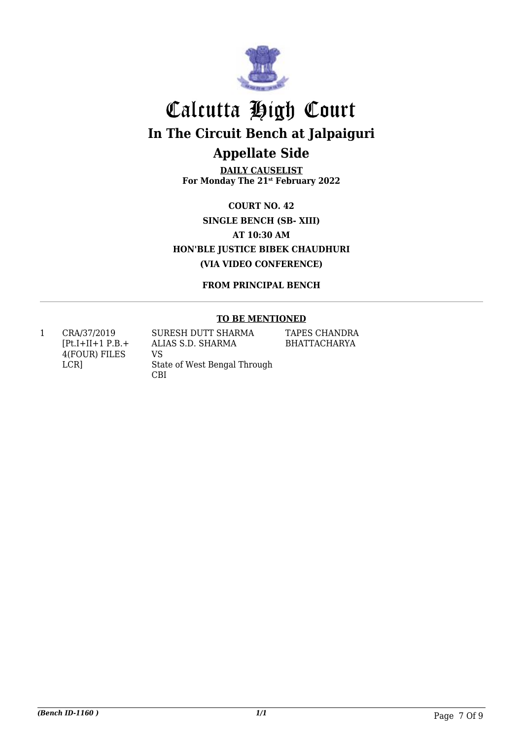

**DAILY CAUSELIST For Monday The 21st February 2022**

**COURT NO. 42 SINGLE BENCH (SB- XIII) AT 10:30 AM HON'BLE JUSTICE BIBEK CHAUDHURI (VIA VIDEO CONFERENCE)**

**FROM PRINCIPAL BENCH**

#### **TO BE MENTIONED**

1 CRA/37/2019  $[Pt.I+II+1 P.B. +$ 4(FOUR) FILES LCR]

SURESH DUTT SHARMA ALIAS S.D. SHARMA VS State of West Bengal Through CBI

TAPES CHANDRA BHATTACHARYA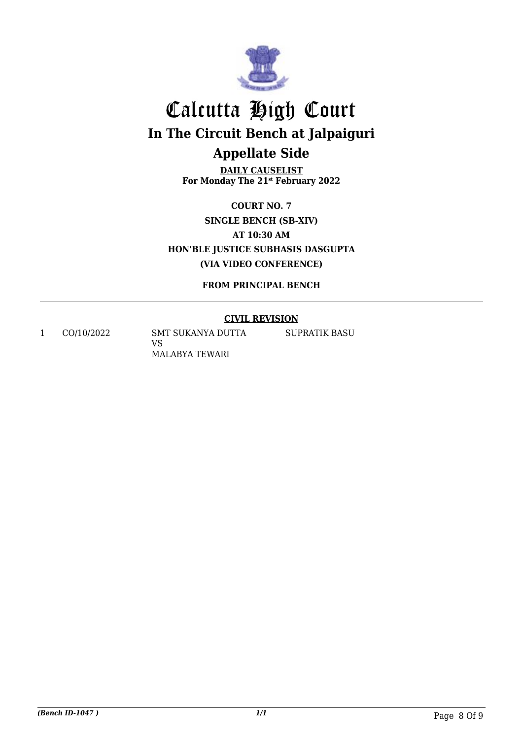

**DAILY CAUSELIST For Monday The 21st February 2022**

**COURT NO. 7 SINGLE BENCH (SB-XIV) AT 10:30 AM HON'BLE JUSTICE SUBHASIS DASGUPTA (VIA VIDEO CONFERENCE)**

**FROM PRINCIPAL BENCH**

### **CIVIL REVISION**

1 CO/10/2022 SMT SUKANYA DUTTA VS MALABYA TEWARI

SUPRATIK BASU